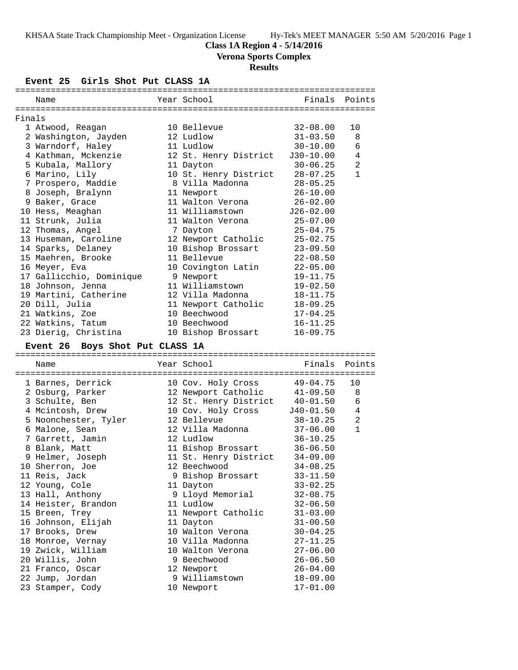## **Class 1A Region 4 - 5/14/2016**

**Verona Sports Complex**

# **Results**

## **Event 25 Girls Shot Put CLASS 1A**

|        | Name                            | Year School           | Finals       | Points         |
|--------|---------------------------------|-----------------------|--------------|----------------|
|        |                                 |                       |              |                |
| Finals |                                 |                       |              |                |
|        | 1 Atwood, Reagan                | 10 Bellevue           | $32 - 08.00$ | 10             |
|        | 2 Washington, Jayden            | 12 Ludlow             | $31 - 03.50$ | 8              |
|        | 3 Warndorf, Haley               | 11 Ludlow             | $30 - 10.00$ | 6              |
|        | 4 Kathman, Mckenzie             | 12 St. Henry District | J30-10.00    | $\overline{4}$ |
|        | 5 Kubala, Mallory               | 11 Dayton             | $30 - 06.25$ | $\overline{a}$ |
|        | 6 Marino, Lily                  | 10 St. Henry District | $28 - 07.25$ | $\mathbf{1}$   |
|        | 7 Prospero, Maddie              | 8 Villa Madonna       | $28 - 05.25$ |                |
|        | 8 Joseph, Bralynn               | 11 Newport            | $26 - 10.00$ |                |
|        | 9 Baker, Grace                  | 11 Walton Verona      | $26 - 02.00$ |                |
|        | 10 Hess, Meaghan                | 11 Williamstown       | J26-02.00    |                |
|        | 11 Strunk, Julia                | 11 Walton Verona      | $25 - 07.00$ |                |
|        | 12 Thomas, Angel                | 7 Dayton              | $25 - 04.75$ |                |
|        | 13 Huseman, Caroline            | 12 Newport Catholic   | $25 - 02.75$ |                |
|        | 14 Sparks, Delaney              | 10 Bishop Brossart    | $23 - 09.50$ |                |
|        | 15 Maehren, Brooke              | 11 Bellevue           | $22 - 08.50$ |                |
|        | 16 Meyer, Eva                   | 10 Covington Latin    | $22 - 05.00$ |                |
|        | 17 Gallicchio, Dominique        | 9 Newport             | $19 - 11.75$ |                |
|        | 18 Johnson, Jenna               | 11 Williamstown       | $19 - 02.50$ |                |
|        | 19 Martini, Catherine           | 12 Villa Madonna      | $18 - 11.75$ |                |
|        | 20 Dill, Julia                  | 11 Newport Catholic   | $18 - 09.25$ |                |
|        | 21 Watkins, Zoe                 | 10 Beechwood          | $17 - 04.25$ |                |
|        | 22 Watkins, Tatum               | 10 Beechwood          | $16 - 11.25$ |                |
|        | 23 Dierig, Christina            | 10 Bishop Brossart    | $16 - 09.75$ |                |
|        |                                 |                       |              |                |
|        | Event 26 Boys Shot Put CLASS 1A |                       |              |                |
|        | Name                            | Year School           | Finals       | Points         |
|        | ------------------------        |                       |              |                |

| 1 Barnes, Derrick    | 10 Cov. Holy Cross             | 49-04.75     | 10             |
|----------------------|--------------------------------|--------------|----------------|
| 2 Osburg, Parker     | 12 Newport Catholic            | 41-09.50     | 8              |
| 3 Schulte, Ben       | 12 St. Henry District 40-01.50 |              | 6              |
| 4 Mcintosh, Drew     | 10 Cov. Holy Cross J40-01.50   |              | $\overline{4}$ |
| 5 Noonchester, Tyler | 12 Bellevue                    | 38-10.25     | $\overline{2}$ |
| 6 Malone, Sean       | 12 Villa Madonna               | 37-06.00     | $\mathbf{1}$   |
| 7 Garrett, Jamin     | 12 Ludlow                      | $36 - 10.25$ |                |
| 8 Blank, Matt        | 11 Bishop Brossart             | $36 - 06.50$ |                |
| 9 Helmer, Joseph     | 11 St. Henry District          | $34 - 09.00$ |                |
| 10 Sherron, Joe      | 12 Beechwood                   | $34 - 08.25$ |                |
| 11 Reis, Jack        | 9 Bishop Brossart              | $33 - 11.50$ |                |
| 12 Young, Cole       | 11 Dayton                      | $33 - 02.25$ |                |
| 13 Hall, Anthony     | 9 Lloyd Memorial               | $32 - 08.75$ |                |
| 14 Heister, Brandon  | 11 Ludlow                      | $32 - 06.50$ |                |
| 15 Breen, Trey       | 11 Newport Catholic            | $31 - 03.00$ |                |
| 16 Johnson, Elijah   | 11 Dayton                      | $31 - 00.50$ |                |
| 17 Brooks, Drew      | 10 Walton Verona               | $30 - 04.25$ |                |
| 18 Monroe, Vernay    | 10 Villa Madonna               | $27 - 11.25$ |                |
| 19 Zwick, William    | 10 Walton Verona               | $27 - 06.00$ |                |
| 20 Willis, John      | 9 Beechwood                    | $26 - 06.50$ |                |
| 21 Franco, Oscar     | 12 Newport                     | $26 - 04.00$ |                |
| 22 Jump, Jordan      | 9 Williamstown                 | $18 - 09.00$ |                |
| 23 Stamper, Cody     | 10 Newport                     | $17 - 01.00$ |                |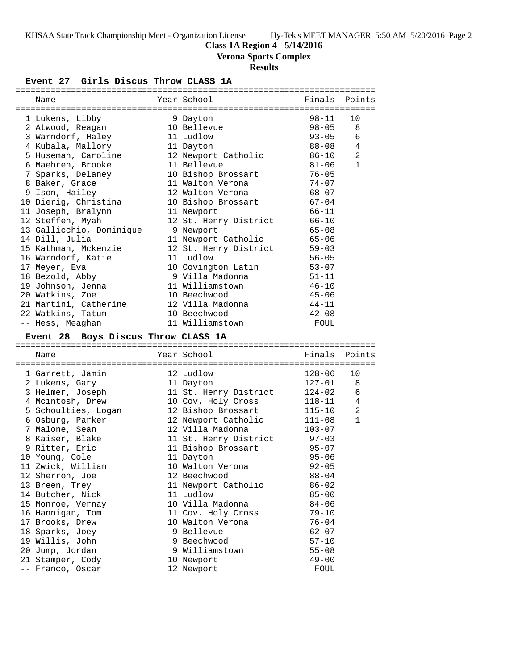## **Class 1A Region 4 - 5/14/2016**

**Verona Sports Complex**

## **Results**

### **Event 27 Girls Discus Throw CLASS 1A**

|  | Name                                 |  | Year School                            | Finals Points |                |  |  |  |
|--|--------------------------------------|--|----------------------------------------|---------------|----------------|--|--|--|
|  |                                      |  |                                        |               |                |  |  |  |
|  | 1 Lukens, Libby                      |  | 9 Dayton                               | $98 - 11$     | 10             |  |  |  |
|  | 2 Atwood, Reagan                     |  | 10 Bellevue                            | $98 - 05$     | 8              |  |  |  |
|  | 3 Warndorf, Haley                    |  | 11 Ludlow                              | $93 - 05$     | 6              |  |  |  |
|  | 4 Kubala, Mallory                    |  | 11 Dayton                              | $88 - 08$     | 4              |  |  |  |
|  | 5 Huseman, Caroline                  |  | 12 Newport Catholic                    | 86-10         | 2              |  |  |  |
|  | 6 Maehren, Brooke                    |  | 11 Bellevue                            | $81 - 06$     | $\mathbf{1}$   |  |  |  |
|  | 7 Sparks, Delaney                    |  | 10 Bishop Brossart                     | $76 - 05$     |                |  |  |  |
|  | 8 Baker, Grace                       |  | 11 Walton Verona                       | $74 - 07$     |                |  |  |  |
|  | 9 Ison, Hailey                       |  | 12 Walton Verona                       | $68 - 07$     |                |  |  |  |
|  | 10 Dierig, Christina                 |  | 10 Bishop Brossart                     | $67 - 04$     |                |  |  |  |
|  | 11 Joseph, Bralynn                   |  | 11 Newport                             | $66 - 11$     |                |  |  |  |
|  | 12 Steffen, Myah                     |  | 12 St. Henry District                  | $66 - 10$     |                |  |  |  |
|  | 13 Gallicchio, Dominique             |  | 9 Newport                              | $65 - 08$     |                |  |  |  |
|  | 14 Dill, Julia                       |  | 11 Newport Catholic                    | $65 - 06$     |                |  |  |  |
|  | 15 Kathman, Mckenzie                 |  | 12 St. Henry District                  | $59 - 03$     |                |  |  |  |
|  | 16 Warndorf, Katie                   |  | 11 Ludlow                              | $56 - 05$     |                |  |  |  |
|  | 17 Meyer, Eva                        |  | 10 Covington Latin                     | $53 - 07$     |                |  |  |  |
|  | 18 Bezold, Abby                      |  | 9 Villa Madonna                        | $51 - 11$     |                |  |  |  |
|  | 19 Johnson, Jenna                    |  | 11 Williamstown                        | $46 - 10$     |                |  |  |  |
|  | 20 Watkins, Zoe                      |  | 10 Beechwood                           | $45 - 06$     |                |  |  |  |
|  | 21 Martini, Catherine                |  | 12 Villa Madonna                       | $44 - 11$     |                |  |  |  |
|  | 22 Watkins, Tatum                    |  | 10 Beechwood                           | $42 - 08$     |                |  |  |  |
|  | -- Hess, Meaghan                     |  | 11 Williamstown                        | FOUL          |                |  |  |  |
|  |                                      |  |                                        |               |                |  |  |  |
|  | Event 28 Boys Discus Throw CLASS 1A  |  |                                        |               |                |  |  |  |
|  | Name                                 |  | Year School                            | Finals        | Points         |  |  |  |
|  |                                      |  |                                        |               |                |  |  |  |
|  | 1 Garrett, Jamin                     |  | 12 Ludlow                              | $128 - 06$    | 10             |  |  |  |
|  | 2 Lukens, Gary                       |  | 11 Dayton                              | $127 - 01$    | 8              |  |  |  |
|  | 3 Helmer, Joseph                     |  | 11 St. Henry District                  | 124-02        | 6              |  |  |  |
|  | 4 Mcintosh, Drew                     |  | 10 Cov. Holy Cross                     | 118-11        | $\overline{4}$ |  |  |  |
|  | 5 Schoulties, Logan                  |  | 12 Bishop Brossart                     | $115 - 10$    | 2              |  |  |  |
|  | 6 Osburg, Parker                     |  | 12 Newport Catholic                    | $111 - 08$    | $\mathbf{1}$   |  |  |  |
|  | 7 Malone, Sean                       |  | 12 Villa Madonna                       | $103 - 07$    |                |  |  |  |
|  | 8 Kaiser, Blake                      |  | 11 St. Henry District                  | $97 - 03$     |                |  |  |  |
|  | 9 Ritter, Eric                       |  | 11 Bishop Brossart                     | $95 - 07$     |                |  |  |  |
|  | 10 Young, Cole                       |  | 11 Dayton                              | $95 - 06$     |                |  |  |  |
|  |                                      |  | 10 Walton Verona                       | $92 - 05$     |                |  |  |  |
|  | 11 Zwick, William<br>12 Sherron, Joe |  | 12 Beechwood                           | $88 - 04$     |                |  |  |  |
|  | 13 Breen, Trey                       |  | 11 Newport Catholic                    | $86 - 02$     |                |  |  |  |
|  | 14 Butcher, Nick                     |  | 11 Ludlow                              | $85 - 00$     |                |  |  |  |
|  | 15 Monroe, Vernay                    |  | 10 Villa Madonna                       | $84 - 06$     |                |  |  |  |
|  | 16 Hannigan, Tom                     |  |                                        | $79 - 10$     |                |  |  |  |
|  | 17 Brooks, Drew                      |  | 11 Cov. Holy Cross<br>10 Walton Verona | $76 - 04$     |                |  |  |  |
|  |                                      |  | 9 Bellevue                             | $62 - 07$     |                |  |  |  |
|  | 18 Sparks, Joey<br>19 Willis, John   |  | 9 Beechwood                            | $57 - 10$     |                |  |  |  |
|  | 20 Jump, Jordan                      |  | 9 Williamstown                         | $55 - 08$     |                |  |  |  |
|  | 21 Stamper, Cody                     |  | 10 Newport                             | $49 - 00$     |                |  |  |  |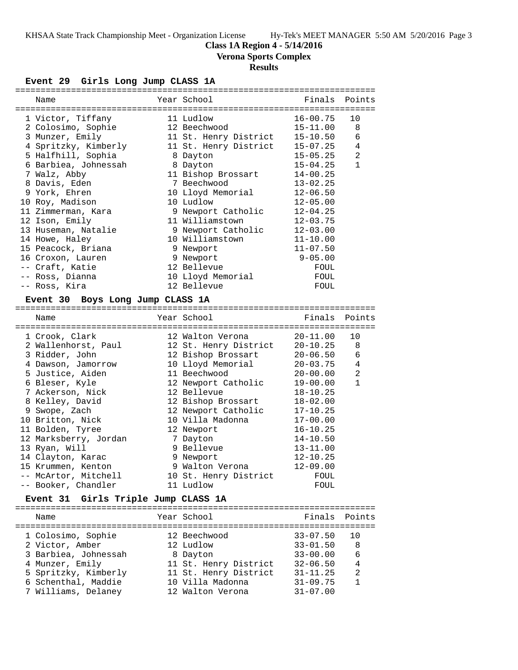### **Class 1A Region 4 - 5/14/2016**

**Verona Sports Complex**

## **Results**

#### **Event 29 Girls Long Jump CLASS 1A**

| Name                                       | Year School           | Finals       | Points       |
|--------------------------------------------|-----------------------|--------------|--------------|
| 1 Victor, Tiffany                          | 11 Ludlow             | $16 - 00.75$ | 10           |
| 2 Colosimo, Sophie                         | 12 Beechwood          | $15 - 11.00$ | 8            |
| 3 Munzer, Emily                            | 11 St. Henry District | $15 - 10.50$ | 6            |
| 4 Spritzky, Kimberly                       | 11 St. Henry District | $15 - 07.25$ | 4            |
| 5 Halfhill, Sophia                         | 8 Dayton              | $15 - 05.25$ | 2            |
| 6 Barbiea, Johnessah                       | 8 Dayton              | $15 - 04.25$ | $\mathbf{1}$ |
| 7 Walz, Abby                               | 11 Bishop Brossart    | $14 - 00.25$ |              |
| 8 Davis, Eden                              | 7 Beechwood           | $13 - 02.25$ |              |
| 9 York, Ehren                              | 10 Lloyd Memorial     | $12 - 06.50$ |              |
| 10 Roy, Madison                            | 10 Ludlow             | $12 - 05.00$ |              |
| 11 Zimmerman, Kara                         | 9 Newport Catholic    | $12 - 04.25$ |              |
| 12 Ison, Emily                             | 11 Williamstown       | $12 - 03.75$ |              |
| 13 Huseman, Natalie                        | 9 Newport Catholic    | $12 - 03.00$ |              |
| 14 Howe, Haley                             | 10 Williamstown       | $11 - 10.00$ |              |
| 15 Peacock, Briana                         | 9 Newport             | $11 - 07.50$ |              |
| 16 Croxon, Lauren                          | 9 Newport             | $9 - 05.00$  |              |
| -- Craft, Katie                            | 12 Bellevue           | FOUL         |              |
| -- Ross, Dianna                            | 10 Lloyd Memorial     | FOUL         |              |
| -- Ross, Kira                              | 12 Bellevue           | FOUL         |              |
| <b>Event 30</b><br>Boys Long Jump CLASS 1A |                       |              |              |
|                                            |                       |              |              |
| Name                                       | Year School           | Finals       | Points       |
| 1 Crook, Clark                             | 12 Walton Verona      | $20 - 11.00$ | 10           |
| 2 Wallenhorst, Paul                        | 12 St. Henry District | 20-10.25     | 8            |
| 3 Ridder, John                             | 12 Bishop Brossart    | $20 - 06.50$ | 6            |
| 4 Dawson, Jamorrow                         | 10 Lloyd Memorial     | $20 - 03.75$ | 4            |
| 5 Justice, Aiden                           | 11 Beechwood          | $20 - 00.00$ | 2            |
| 6 Bleser, Kyle                             | 12 Newport Catholic   | $19 - 00.00$ | $\mathbf{1}$ |
| 7 Ackerson, Nick                           | 12 Bellevue           | $18 - 10.25$ |              |
| 8 Kelley, David                            | 12 Bishop Brossart    | $18 - 02.00$ |              |
| 9 Swope, Zach                              | 12 Newport Catholic   | $17 - 10.25$ |              |
| 10 Britton, Nick                           | 10 Villa Madonna      | $17 - 00.00$ |              |
| 11 Bolden, Tyree                           | 12 Newport            | $16 - 10.25$ |              |
| 12 Marksberry, Jordan                      | 7 Dayton              | $14 - 10.50$ |              |
| 13 Ryan, Will                              | 9 Bellevue            | $13 - 11.00$ |              |
| 14 Clayton, Karac                          | 9 Newport             | 12-10.25     |              |
| 15 Krummen, Kenton                         | 9 Walton Verona       | 12-09.00     |              |
|                                            | 10 St. Henry District |              |              |

## **Event 31 Girls Triple Jump CLASS 1A**

| Name                 | Year School           | Finals Points |                |
|----------------------|-----------------------|---------------|----------------|
| 1 Colosimo, Sophie   | 12 Beechwood          | $33 - 07.50$  | 1 N            |
| 2 Victor, Amber      | 12 Ludlow             | $33 - 01.50$  | 8              |
| 3 Barbiea, Johnessah | 8 Dayton              | $33 - 00.00$  | 6              |
| 4 Munzer, Emily      | 11 St. Henry District | $32 - 06.50$  | $\overline{4}$ |
| 5 Spritzky, Kimberly | 11 St. Henry District | $31 - 11.25$  | 2              |
| 6 Schenthal, Maddie  | 10 Villa Madonna      | $31 - 09.75$  | $\mathbf{1}$   |
| 7 Williams, Delaney  | 12 Walton Verona      | $31 - 07.00$  |                |
|                      |                       |               |                |

-- Booker, Chandler 11 Ludlow FOUL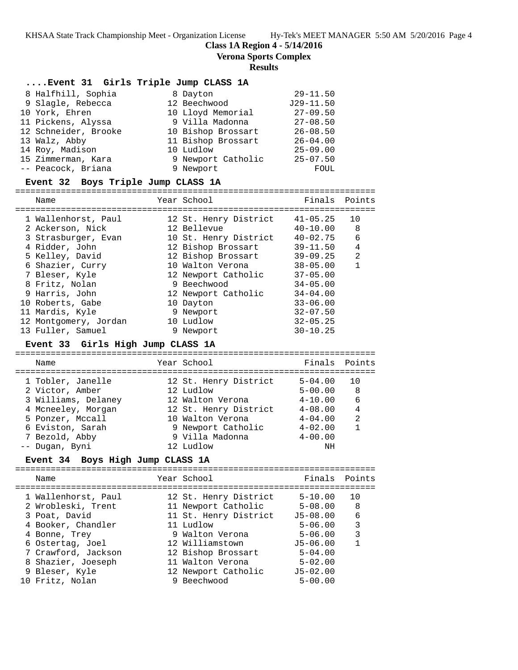**Class 1A Region 4 - 5/14/2016**

**Verona Sports Complex**

#### **Results**

#### **....Event 31 Girls Triple Jump CLASS 1A**

| 8 Halfhill, Sophia   | 8 Dayton           | $29 - 11.50$ |
|----------------------|--------------------|--------------|
| 9 Slagle, Rebecca    | 12 Beechwood       | $J29-11.50$  |
| 10 York, Ehren       | 10 Lloyd Memorial  | $27 - 09.50$ |
| 11 Pickens, Alyssa   | 9 Villa Madonna    | $27 - 08.50$ |
| 12 Schneider, Brooke | 10 Bishop Brossart | $26 - 08.50$ |
| 13 Walz, Abby        | 11 Bishop Brossart | $26 - 04.00$ |
| 14 Roy, Madison      | 10 Ludlow          | $25 - 09.00$ |
| 15 Zimmerman, Kara   | 9 Newport Catholic | $25 - 07.50$ |
| -- Peacock, Briana   | 9 Newport          | FOUL         |

#### **Event 32 Boys Triple Jump CLASS 1A**

=======================================================================

| Name                  | Year School           | Finals       | Points |
|-----------------------|-----------------------|--------------|--------|
| 1 Wallenhorst, Paul   | 12 St. Henry District | 41-05.25     | 10     |
| 2 Ackerson, Nick      | 12 Bellevue           | $40 - 10.00$ | 8      |
| 3 Strasburger, Evan   | 10 St. Henry District | $40 - 02.75$ | 6      |
| 4 Ridder, John        | 12 Bishop Brossart    | $39 - 11.50$ | 4      |
| 5 Kelley, David       | 12 Bishop Brossart    | $39 - 09.25$ | 2      |
| 6 Shazier, Curry      | 10 Walton Verona      | $38 - 05.00$ | 1      |
| 7 Bleser, Kyle        | 12 Newport Catholic   | $37 - 05.00$ |        |
| 8 Fritz, Nolan        | 9 Beechwood           | $34 - 05.00$ |        |
| 9 Harris, John        | 12 Newport Catholic   | $34 - 04.00$ |        |
| 10 Roberts, Gabe      | 10 Dayton             | $33 - 06.00$ |        |
| 11 Mardis, Kyle       | 9 Newport             | $32 - 07.50$ |        |
| 12 Montgomery, Jordan | 10 Ludlow             | $32 - 05.25$ |        |
| 13 Fuller, Samuel     | 9 Newport             | $30 - 10.25$ |        |

### **Event 33 Girls High Jump CLASS 1A**

| Name                | Year School           | Finals Points |                |
|---------------------|-----------------------|---------------|----------------|
| 1 Tobler, Janelle   | 12 St. Henry District | $5 - 04.00$   | 10             |
| 2 Victor, Amber     | 12 Ludlow             | $5 - 00.00$   | 8              |
| 3 Williams, Delaney | 12 Walton Verona      | $4 - 10.00$   | 6              |
| 4 Mcneeley, Morgan  | 12 St. Henry District | $4 - 08.00$   | $\overline{4}$ |
| 5 Ponzer, Mccall    | 10 Walton Verona      | $4 - 04.00$   | $\mathfrak{D}$ |
| 6 Eviston, Sarah    | 9 Newport Catholic    | $4 - 02.00$   |                |
| 7 Bezold, Abby      | 9 Villa Madonna       | $4 - 00.00$   |                |
| -- Dugan, Byni      | 12 Ludlow             | ΝH            |                |
|                     |                       |               |                |

### **Event 34 Boys High Jump CLASS 1A**

| Name                                                                                                                                                                                 | Year School                                                                                                                                                                               | Finals Points                                                                                                                        |                  |
|--------------------------------------------------------------------------------------------------------------------------------------------------------------------------------------|-------------------------------------------------------------------------------------------------------------------------------------------------------------------------------------------|--------------------------------------------------------------------------------------------------------------------------------------|------------------|
| 1 Wallenhorst, Paul<br>2 Wrobleski, Trent<br>3 Poat, David<br>4 Booker, Chandler<br>4 Bonne, Trey<br>6 Ostertag, Joel<br>7 Crawford, Jackson<br>8 Shazier, Joeseph<br>9 Bleser, Kyle | 12 St. Henry District<br>11 Newport Catholic<br>11 St. Henry District<br>11 Ludlow<br>9 Walton Verona<br>12 Williamstown<br>12 Bishop Brossart<br>11 Walton Verona<br>12 Newport Catholic | $5 - 10.00$<br>$5 - 08.00$<br>$J5 - 08.00$<br>$5 - 06.00$<br>$5 - 06.00$<br>$J5-06.00$<br>$5 - 04.00$<br>$5 - 02.00$<br>$J5 - 02.00$ | 8<br>6<br>3<br>3 |
| 10 Fritz, Nolan                                                                                                                                                                      | 9 Beechwood                                                                                                                                                                               | $5 - 00.00$                                                                                                                          |                  |